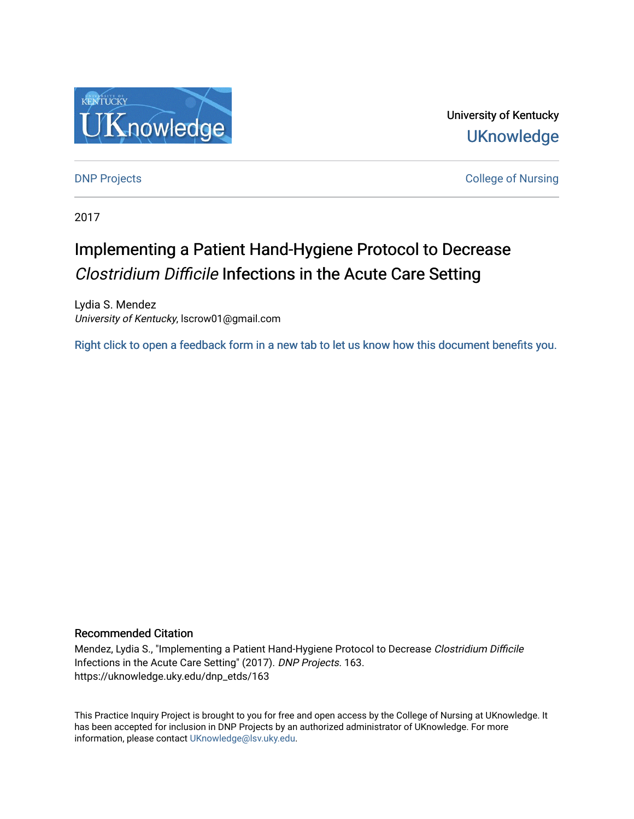

University of Kentucky **UKnowledge** 

**DNP Projects** College of Nursing

2017

# Implementing a Patient Hand-Hygiene Protocol to Decrease Clostridium Difficile Infections in the Acute Care Setting

Lydia S. Mendez University of Kentucky, lscrow01@gmail.com

[Right click to open a feedback form in a new tab to let us know how this document benefits you.](https://uky.az1.qualtrics.com/jfe/form/SV_9mq8fx2GnONRfz7)

# Recommended Citation

Mendez, Lydia S., "Implementing a Patient Hand-Hygiene Protocol to Decrease Clostridium Difficile Infections in the Acute Care Setting" (2017). DNP Projects. 163. https://uknowledge.uky.edu/dnp\_etds/163

This Practice Inquiry Project is brought to you for free and open access by the College of Nursing at UKnowledge. It has been accepted for inclusion in DNP Projects by an authorized administrator of UKnowledge. For more information, please contact [UKnowledge@lsv.uky.edu](mailto:UKnowledge@lsv.uky.edu).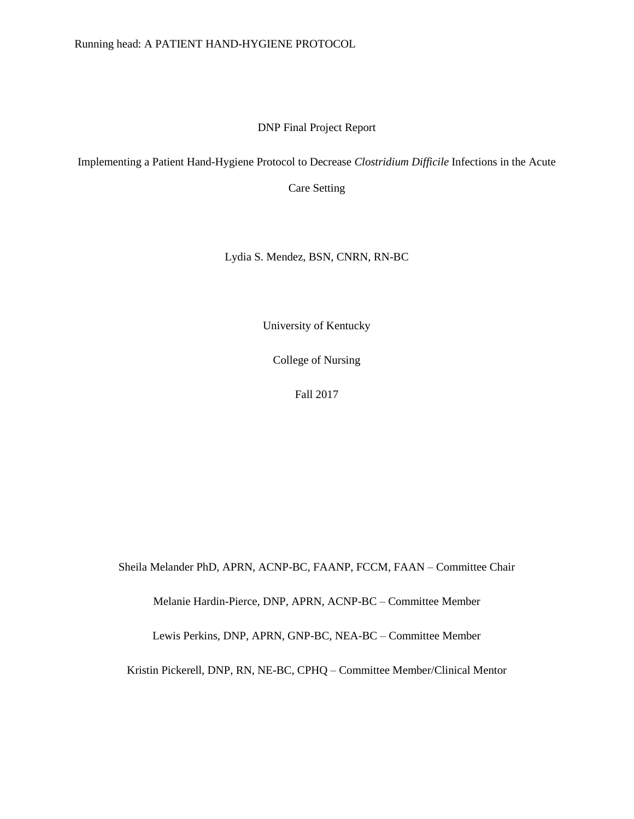DNP Final Project Report

Implementing a Patient Hand-Hygiene Protocol to Decrease *Clostridium Difficile* Infections in the Acute

Care Setting

Lydia S. Mendez, BSN, CNRN, RN-BC

University of Kentucky

College of Nursing

Fall 2017

Sheila Melander PhD, APRN, ACNP-BC, FAANP, FCCM, FAAN – Committee Chair

Melanie Hardin-Pierce, DNP, APRN, ACNP-BC – Committee Member

Lewis Perkins, DNP, APRN, GNP-BC, NEA-BC – Committee Member

Kristin Pickerell, DNP, RN, NE-BC, CPHQ – Committee Member/Clinical Mentor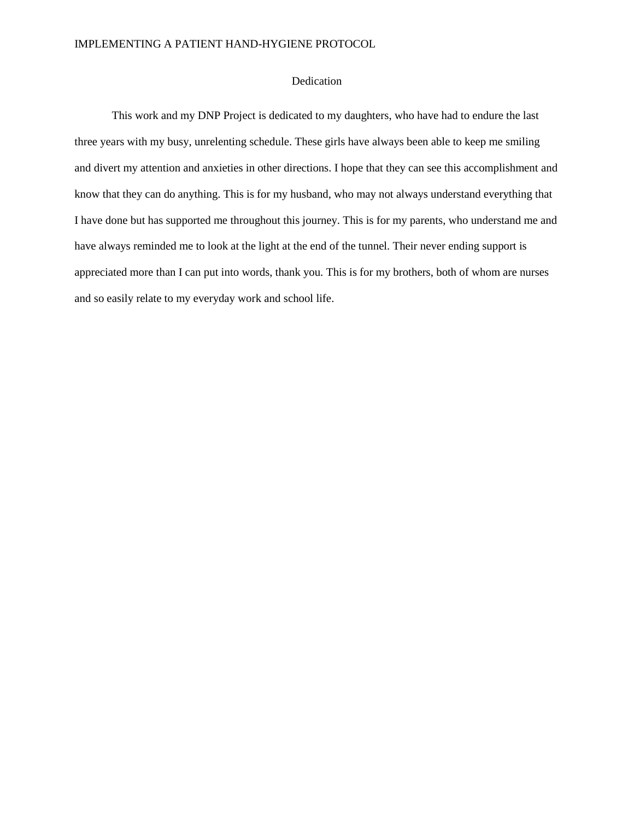# Dedication

This work and my DNP Project is dedicated to my daughters, who have had to endure the last three years with my busy, unrelenting schedule. These girls have always been able to keep me smiling and divert my attention and anxieties in other directions. I hope that they can see this accomplishment and know that they can do anything. This is for my husband, who may not always understand everything that I have done but has supported me throughout this journey. This is for my parents, who understand me and have always reminded me to look at the light at the end of the tunnel. Their never ending support is appreciated more than I can put into words, thank you. This is for my brothers, both of whom are nurses and so easily relate to my everyday work and school life.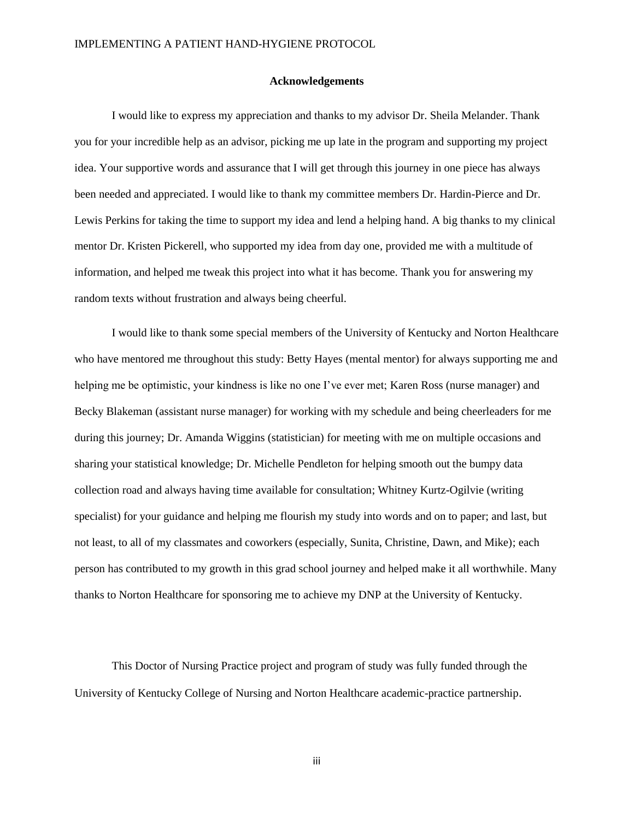#### **Acknowledgements**

I would like to express my appreciation and thanks to my advisor Dr. Sheila Melander. Thank you for your incredible help as an advisor, picking me up late in the program and supporting my project idea. Your supportive words and assurance that I will get through this journey in one piece has always been needed and appreciated. I would like to thank my committee members Dr. Hardin-Pierce and Dr. Lewis Perkins for taking the time to support my idea and lend a helping hand. A big thanks to my clinical mentor Dr. Kristen Pickerell, who supported my idea from day one, provided me with a multitude of information, and helped me tweak this project into what it has become. Thank you for answering my random texts without frustration and always being cheerful.

I would like to thank some special members of the University of Kentucky and Norton Healthcare who have mentored me throughout this study: Betty Hayes (mental mentor) for always supporting me and helping me be optimistic, your kindness is like no one I've ever met; Karen Ross (nurse manager) and Becky Blakeman (assistant nurse manager) for working with my schedule and being cheerleaders for me during this journey; Dr. Amanda Wiggins (statistician) for meeting with me on multiple occasions and sharing your statistical knowledge; Dr. Michelle Pendleton for helping smooth out the bumpy data collection road and always having time available for consultation; Whitney Kurtz-Ogilvie (writing specialist) for your guidance and helping me flourish my study into words and on to paper; and last, but not least, to all of my classmates and coworkers (especially, Sunita, Christine, Dawn, and Mike); each person has contributed to my growth in this grad school journey and helped make it all worthwhile. Many thanks to Norton Healthcare for sponsoring me to achieve my DNP at the University of Kentucky.

This Doctor of Nursing Practice project and program of study was fully funded through the University of Kentucky College of Nursing and Norton Healthcare academic-practice partnership.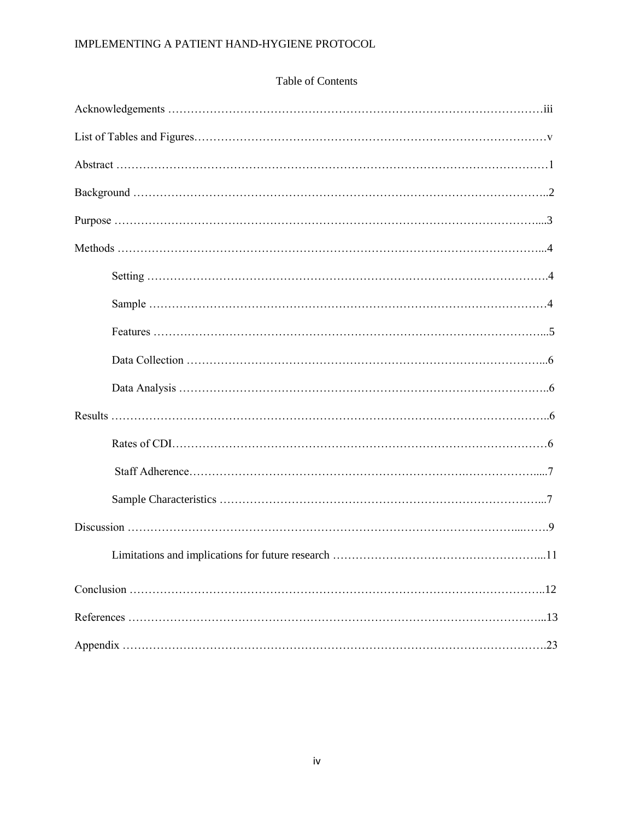# Table of Contents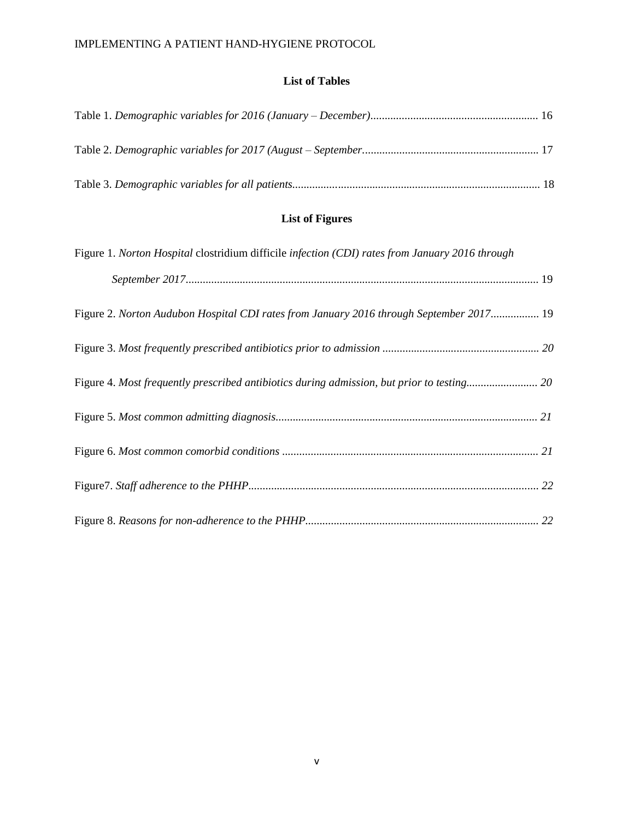# **List of Tables**

# **List of Figures**

| Figure 1. Norton Hospital clostridium difficile infection (CDI) rates from January 2016 through |  |
|-------------------------------------------------------------------------------------------------|--|
|                                                                                                 |  |
| Figure 2. Norton Audubon Hospital CDI rates from January 2016 through September 2017 19         |  |
|                                                                                                 |  |
|                                                                                                 |  |
|                                                                                                 |  |
|                                                                                                 |  |
|                                                                                                 |  |
|                                                                                                 |  |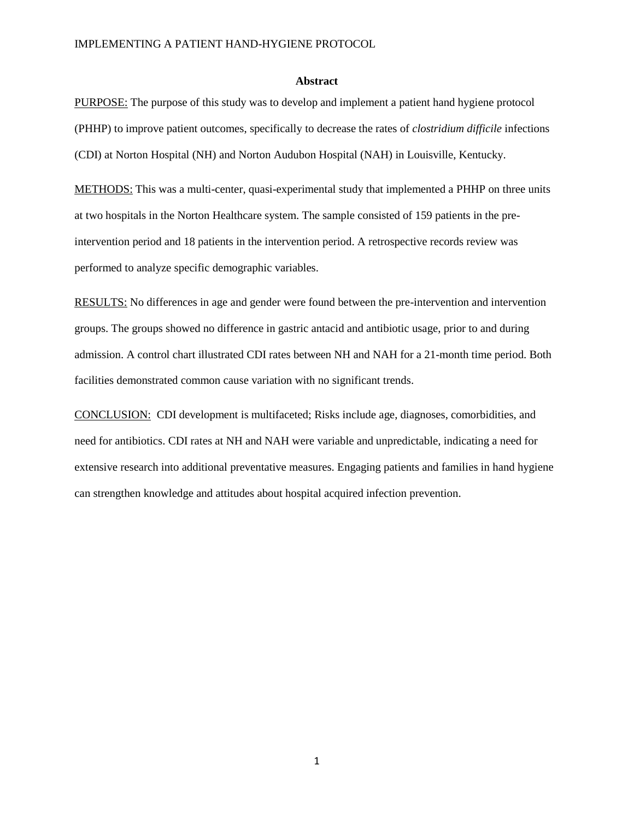#### **Abstract**

PURPOSE: The purpose of this study was to develop and implement a patient hand hygiene protocol (PHHP) to improve patient outcomes, specifically to decrease the rates of *clostridium difficile* infections (CDI) at Norton Hospital (NH) and Norton Audubon Hospital (NAH) in Louisville, Kentucky.

METHODS: This was a multi-center, quasi-experimental study that implemented a PHHP on three units at two hospitals in the Norton Healthcare system. The sample consisted of 159 patients in the preintervention period and 18 patients in the intervention period. A retrospective records review was performed to analyze specific demographic variables.

RESULTS: No differences in age and gender were found between the pre-intervention and intervention groups. The groups showed no difference in gastric antacid and antibiotic usage, prior to and during admission. A control chart illustrated CDI rates between NH and NAH for a 21-month time period. Both facilities demonstrated common cause variation with no significant trends.

CONCLUSION: CDI development is multifaceted; Risks include age, diagnoses, comorbidities, and need for antibiotics. CDI rates at NH and NAH were variable and unpredictable, indicating a need for extensive research into additional preventative measures. Engaging patients and families in hand hygiene can strengthen knowledge and attitudes about hospital acquired infection prevention.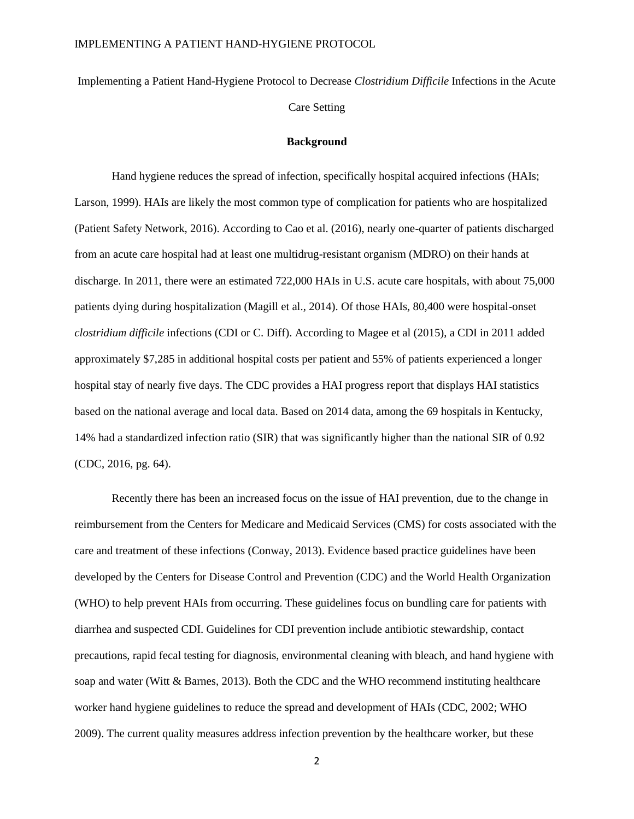Implementing a Patient Hand-Hygiene Protocol to Decrease *Clostridium Difficile* Infections in the Acute Care Setting

# **Background**

Hand hygiene reduces the spread of infection, specifically hospital acquired infections (HAIs; Larson, 1999). HAIs are likely the most common type of complication for patients who are hospitalized (Patient Safety Network, 2016). According to Cao et al. (2016), nearly one-quarter of patients discharged from an acute care hospital had at least one multidrug-resistant organism (MDRO) on their hands at discharge. In 2011, there were an estimated 722,000 HAIs in U.S. acute care hospitals, with about 75,000 patients dying during hospitalization (Magill et al., 2014). Of those HAIs, 80,400 were hospital-onset *clostridium difficile* infections (CDI or C. Diff). According to Magee et al (2015), a CDI in 2011 added approximately \$7,285 in additional hospital costs per patient and 55% of patients experienced a longer hospital stay of nearly five days. The CDC provides a HAI progress report that displays HAI statistics based on the national average and local data. Based on 2014 data, among the 69 hospitals in Kentucky, 14% had a standardized infection ratio (SIR) that was significantly higher than the national SIR of 0.92 (CDC, 2016, pg. 64).

Recently there has been an increased focus on the issue of HAI prevention, due to the change in reimbursement from the Centers for Medicare and Medicaid Services (CMS) for costs associated with the care and treatment of these infections (Conway, 2013). Evidence based practice guidelines have been developed by the Centers for Disease Control and Prevention (CDC) and the World Health Organization (WHO) to help prevent HAIs from occurring. These guidelines focus on bundling care for patients with diarrhea and suspected CDI. Guidelines for CDI prevention include antibiotic stewardship, contact precautions, rapid fecal testing for diagnosis, environmental cleaning with bleach, and hand hygiene with soap and water (Witt  $\&$  Barnes, 2013). Both the CDC and the WHO recommend instituting healthcare worker hand hygiene guidelines to reduce the spread and development of HAIs (CDC, 2002; WHO 2009). The current quality measures address infection prevention by the healthcare worker, but these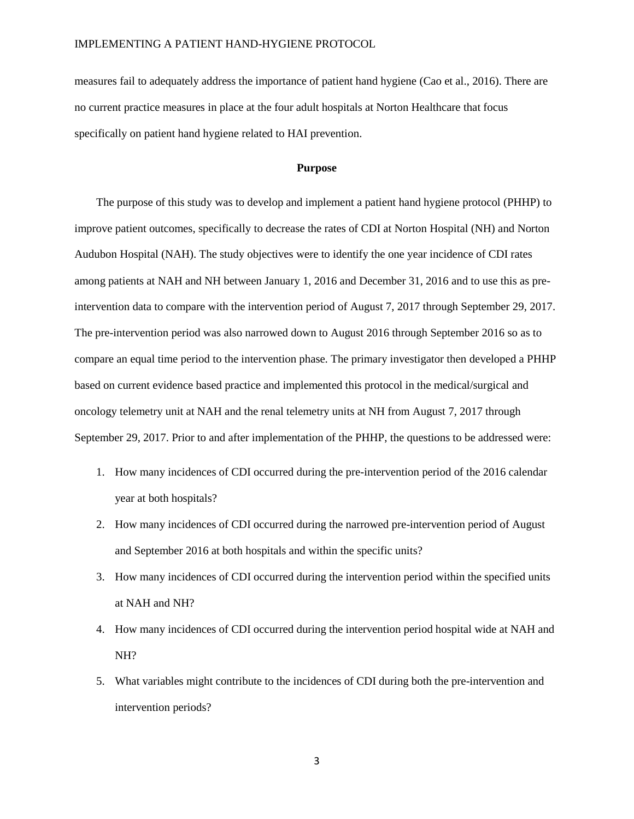measures fail to adequately address the importance of patient hand hygiene (Cao et al., 2016). There are no current practice measures in place at the four adult hospitals at Norton Healthcare that focus specifically on patient hand hygiene related to HAI prevention.

# **Purpose**

The purpose of this study was to develop and implement a patient hand hygiene protocol (PHHP) to improve patient outcomes, specifically to decrease the rates of CDI at Norton Hospital (NH) and Norton Audubon Hospital (NAH). The study objectives were to identify the one year incidence of CDI rates among patients at NAH and NH between January 1, 2016 and December 31, 2016 and to use this as preintervention data to compare with the intervention period of August 7, 2017 through September 29, 2017. The pre-intervention period was also narrowed down to August 2016 through September 2016 so as to compare an equal time period to the intervention phase. The primary investigator then developed a PHHP based on current evidence based practice and implemented this protocol in the medical/surgical and oncology telemetry unit at NAH and the renal telemetry units at NH from August 7, 2017 through September 29, 2017. Prior to and after implementation of the PHHP, the questions to be addressed were:

- 1. How many incidences of CDI occurred during the pre-intervention period of the 2016 calendar year at both hospitals?
- 2. How many incidences of CDI occurred during the narrowed pre-intervention period of August and September 2016 at both hospitals and within the specific units?
- 3. How many incidences of CDI occurred during the intervention period within the specified units at NAH and NH?
- 4. How many incidences of CDI occurred during the intervention period hospital wide at NAH and NH?
- 5. What variables might contribute to the incidences of CDI during both the pre-intervention and intervention periods?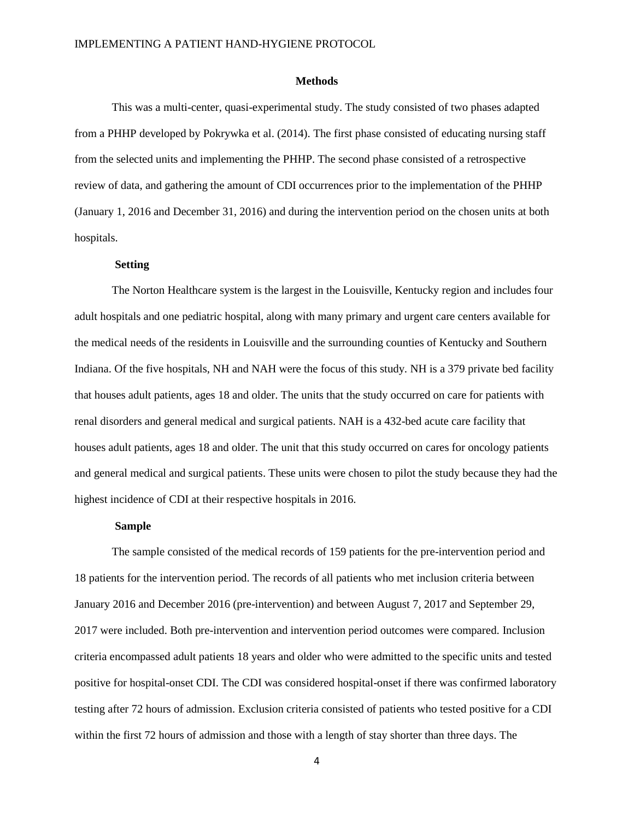#### **Methods**

This was a multi-center, quasi-experimental study. The study consisted of two phases adapted from a PHHP developed by Pokrywka et al. (2014). The first phase consisted of educating nursing staff from the selected units and implementing the PHHP. The second phase consisted of a retrospective review of data, and gathering the amount of CDI occurrences prior to the implementation of the PHHP (January 1, 2016 and December 31, 2016) and during the intervention period on the chosen units at both hospitals.

## **Setting**

The Norton Healthcare system is the largest in the Louisville, Kentucky region and includes four adult hospitals and one pediatric hospital, along with many primary and urgent care centers available for the medical needs of the residents in Louisville and the surrounding counties of Kentucky and Southern Indiana. Of the five hospitals, NH and NAH were the focus of this study. NH is a 379 private bed facility that houses adult patients, ages 18 and older. The units that the study occurred on care for patients with renal disorders and general medical and surgical patients. NAH is a 432-bed acute care facility that houses adult patients, ages 18 and older. The unit that this study occurred on cares for oncology patients and general medical and surgical patients. These units were chosen to pilot the study because they had the highest incidence of CDI at their respective hospitals in 2016.

#### **Sample**

The sample consisted of the medical records of 159 patients for the pre-intervention period and 18 patients for the intervention period. The records of all patients who met inclusion criteria between January 2016 and December 2016 (pre-intervention) and between August 7, 2017 and September 29, 2017 were included. Both pre-intervention and intervention period outcomes were compared. Inclusion criteria encompassed adult patients 18 years and older who were admitted to the specific units and tested positive for hospital-onset CDI. The CDI was considered hospital-onset if there was confirmed laboratory testing after 72 hours of admission. Exclusion criteria consisted of patients who tested positive for a CDI within the first 72 hours of admission and those with a length of stay shorter than three days. The

4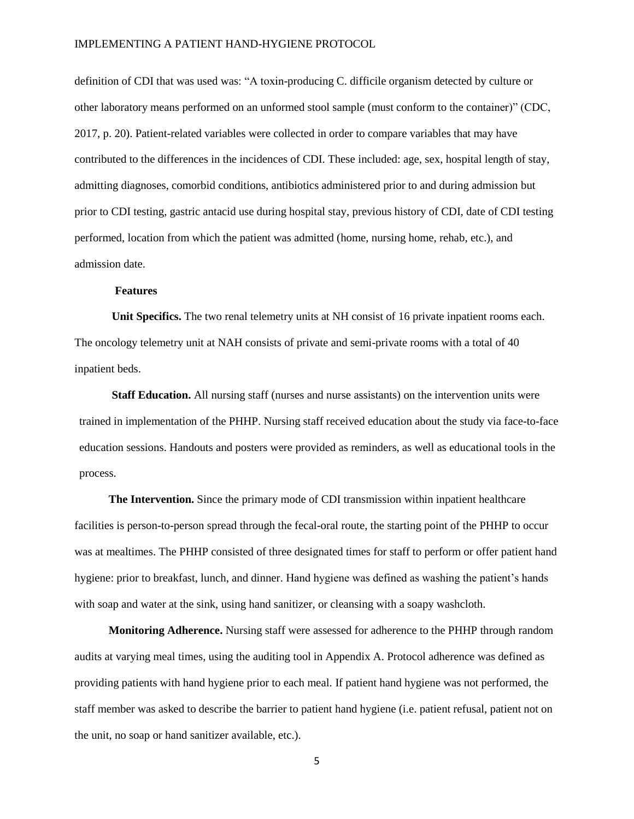definition of CDI that was used was: "A toxin-producing C. difficile organism detected by culture or other laboratory means performed on an unformed stool sample (must conform to the container)" (CDC, 2017, p. 20). Patient-related variables were collected in order to compare variables that may have contributed to the differences in the incidences of CDI. These included: age, sex, hospital length of stay, admitting diagnoses, comorbid conditions, antibiotics administered prior to and during admission but prior to CDI testing, gastric antacid use during hospital stay, previous history of CDI, date of CDI testing performed, location from which the patient was admitted (home, nursing home, rehab, etc.), and admission date.

# **Features**

**Unit Specifics.** The two renal telemetry units at NH consist of 16 private inpatient rooms each. The oncology telemetry unit at NAH consists of private and semi-private rooms with a total of 40 inpatient beds.

**Staff Education.** All nursing staff (nurses and nurse assistants) on the intervention units were trained in implementation of the PHHP. Nursing staff received education about the study via face-to-face education sessions. Handouts and posters were provided as reminders, as well as educational tools in the process.

**The Intervention.** Since the primary mode of CDI transmission within inpatient healthcare facilities is person-to-person spread through the fecal-oral route, the starting point of the PHHP to occur was at mealtimes. The PHHP consisted of three designated times for staff to perform or offer patient hand hygiene: prior to breakfast, lunch, and dinner. Hand hygiene was defined as washing the patient's hands with soap and water at the sink, using hand sanitizer, or cleansing with a soapy washcloth.

**Monitoring Adherence.** Nursing staff were assessed for adherence to the PHHP through random audits at varying meal times, using the auditing tool in Appendix A. Protocol adherence was defined as providing patients with hand hygiene prior to each meal. If patient hand hygiene was not performed, the staff member was asked to describe the barrier to patient hand hygiene (i.e. patient refusal, patient not on the unit, no soap or hand sanitizer available, etc.).

5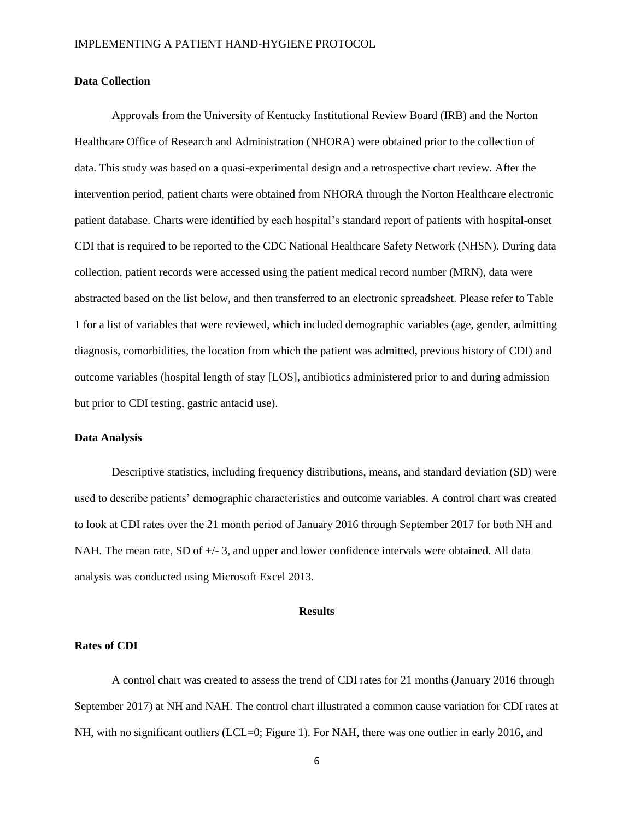#### **Data Collection**

Approvals from the University of Kentucky Institutional Review Board (IRB) and the Norton Healthcare Office of Research and Administration (NHORA) were obtained prior to the collection of data. This study was based on a quasi-experimental design and a retrospective chart review. After the intervention period, patient charts were obtained from NHORA through the Norton Healthcare electronic patient database. Charts were identified by each hospital's standard report of patients with hospital-onset CDI that is required to be reported to the CDC National Healthcare Safety Network (NHSN). During data collection, patient records were accessed using the patient medical record number (MRN), data were abstracted based on the list below, and then transferred to an electronic spreadsheet. Please refer to Table 1 for a list of variables that were reviewed, which included demographic variables (age, gender, admitting diagnosis, comorbidities, the location from which the patient was admitted, previous history of CDI) and outcome variables (hospital length of stay [LOS], antibiotics administered prior to and during admission but prior to CDI testing, gastric antacid use).

## **Data Analysis**

Descriptive statistics, including frequency distributions, means, and standard deviation (SD) were used to describe patients' demographic characteristics and outcome variables. A control chart was created to look at CDI rates over the 21 month period of January 2016 through September 2017 for both NH and NAH. The mean rate, SD of  $+/- 3$ , and upper and lower confidence intervals were obtained. All data analysis was conducted using Microsoft Excel 2013.

#### **Results**

#### **Rates of CDI**

A control chart was created to assess the trend of CDI rates for 21 months (January 2016 through September 2017) at NH and NAH. The control chart illustrated a common cause variation for CDI rates at NH, with no significant outliers (LCL=0; Figure 1). For NAH, there was one outlier in early 2016, and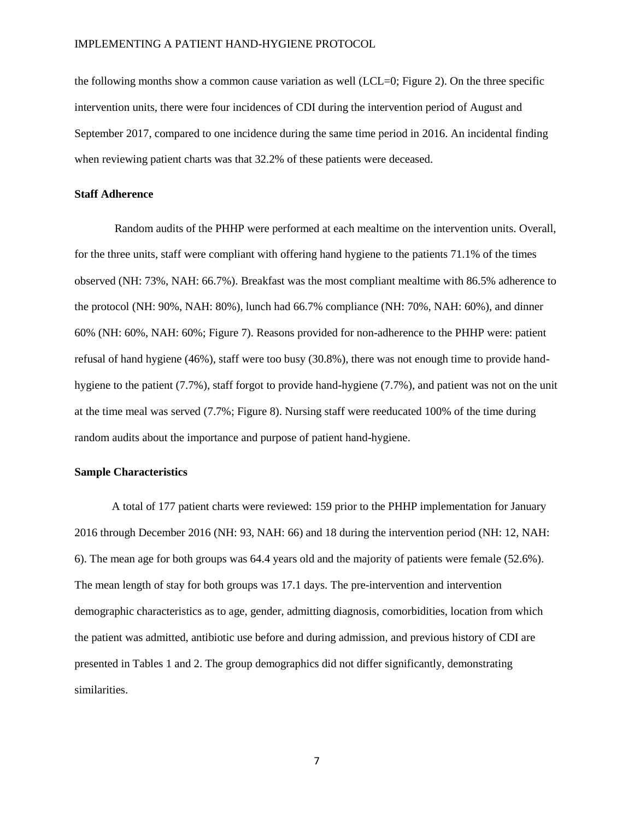the following months show a common cause variation as well (LCL=0; Figure 2). On the three specific intervention units, there were four incidences of CDI during the intervention period of August and September 2017, compared to one incidence during the same time period in 2016. An incidental finding when reviewing patient charts was that 32.2% of these patients were deceased.

## **Staff Adherence**

Random audits of the PHHP were performed at each mealtime on the intervention units. Overall, for the three units, staff were compliant with offering hand hygiene to the patients 71.1% of the times observed (NH: 73%, NAH: 66.7%). Breakfast was the most compliant mealtime with 86.5% adherence to the protocol (NH: 90%, NAH: 80%), lunch had 66.7% compliance (NH: 70%, NAH: 60%), and dinner 60% (NH: 60%, NAH: 60%; Figure 7). Reasons provided for non-adherence to the PHHP were: patient refusal of hand hygiene (46%), staff were too busy (30.8%), there was not enough time to provide handhygiene to the patient (7.7%), staff forgot to provide hand-hygiene (7.7%), and patient was not on the unit at the time meal was served (7.7%; Figure 8). Nursing staff were reeducated 100% of the time during random audits about the importance and purpose of patient hand-hygiene.

# **Sample Characteristics**

A total of 177 patient charts were reviewed: 159 prior to the PHHP implementation for January 2016 through December 2016 (NH: 93, NAH: 66) and 18 during the intervention period (NH: 12, NAH: 6). The mean age for both groups was 64.4 years old and the majority of patients were female (52.6%). The mean length of stay for both groups was 17.1 days. The pre-intervention and intervention demographic characteristics as to age, gender, admitting diagnosis, comorbidities, location from which the patient was admitted, antibiotic use before and during admission, and previous history of CDI are presented in Tables 1 and 2. The group demographics did not differ significantly, demonstrating similarities.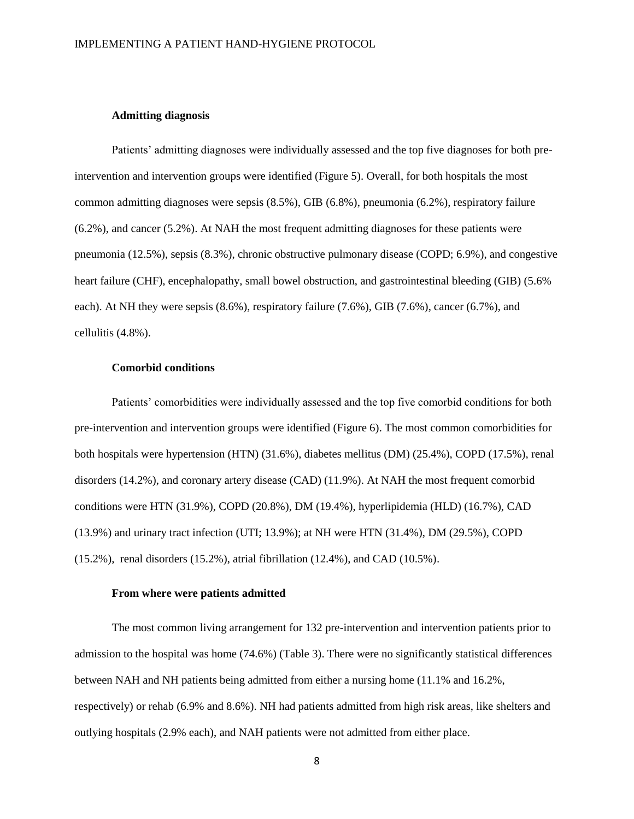## **Admitting diagnosis**

Patients' admitting diagnoses were individually assessed and the top five diagnoses for both preintervention and intervention groups were identified (Figure 5). Overall, for both hospitals the most common admitting diagnoses were sepsis (8.5%), GIB (6.8%), pneumonia (6.2%), respiratory failure (6.2%), and cancer (5.2%). At NAH the most frequent admitting diagnoses for these patients were pneumonia (12.5%), sepsis (8.3%), chronic obstructive pulmonary disease (COPD; 6.9%), and congestive heart failure (CHF), encephalopathy, small bowel obstruction, and gastrointestinal bleeding (GIB) (5.6% each). At NH they were sepsis (8.6%), respiratory failure (7.6%), GIB (7.6%), cancer (6.7%), and cellulitis (4.8%).

#### **Comorbid conditions**

Patients' comorbidities were individually assessed and the top five comorbid conditions for both pre-intervention and intervention groups were identified (Figure 6). The most common comorbidities for both hospitals were hypertension (HTN) (31.6%), diabetes mellitus (DM) (25.4%), COPD (17.5%), renal disorders (14.2%), and coronary artery disease (CAD) (11.9%). At NAH the most frequent comorbid conditions were HTN (31.9%), COPD (20.8%), DM (19.4%), hyperlipidemia (HLD) (16.7%), CAD (13.9%) and urinary tract infection (UTI; 13.9%); at NH were HTN (31.4%), DM (29.5%), COPD (15.2%), renal disorders (15.2%), atrial fibrillation (12.4%), and CAD (10.5%).

## **From where were patients admitted**

The most common living arrangement for 132 pre-intervention and intervention patients prior to admission to the hospital was home (74.6%) (Table 3). There were no significantly statistical differences between NAH and NH patients being admitted from either a nursing home (11.1% and 16.2%, respectively) or rehab (6.9% and 8.6%). NH had patients admitted from high risk areas, like shelters and outlying hospitals (2.9% each), and NAH patients were not admitted from either place.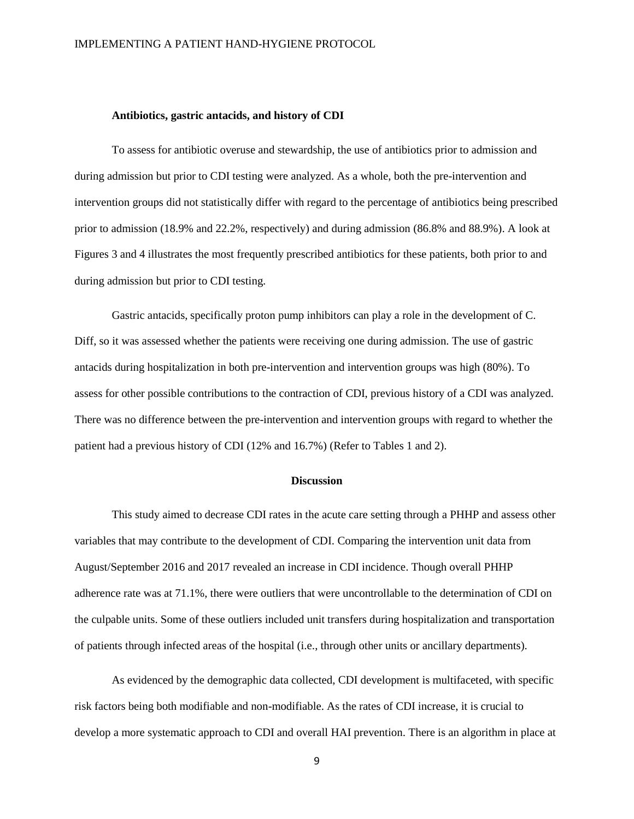## **Antibiotics, gastric antacids, and history of CDI**

To assess for antibiotic overuse and stewardship, the use of antibiotics prior to admission and during admission but prior to CDI testing were analyzed. As a whole, both the pre-intervention and intervention groups did not statistically differ with regard to the percentage of antibiotics being prescribed prior to admission (18.9% and 22.2%, respectively) and during admission (86.8% and 88.9%). A look at Figures 3 and 4 illustrates the most frequently prescribed antibiotics for these patients, both prior to and during admission but prior to CDI testing.

Gastric antacids, specifically proton pump inhibitors can play a role in the development of C. Diff, so it was assessed whether the patients were receiving one during admission. The use of gastric antacids during hospitalization in both pre-intervention and intervention groups was high (80%). To assess for other possible contributions to the contraction of CDI, previous history of a CDI was analyzed. There was no difference between the pre-intervention and intervention groups with regard to whether the patient had a previous history of CDI (12% and 16.7%) (Refer to Tables 1 and 2).

#### **Discussion**

This study aimed to decrease CDI rates in the acute care setting through a PHHP and assess other variables that may contribute to the development of CDI. Comparing the intervention unit data from August/September 2016 and 2017 revealed an increase in CDI incidence. Though overall PHHP adherence rate was at 71.1%, there were outliers that were uncontrollable to the determination of CDI on the culpable units. Some of these outliers included unit transfers during hospitalization and transportation of patients through infected areas of the hospital (i.e., through other units or ancillary departments).

As evidenced by the demographic data collected, CDI development is multifaceted, with specific risk factors being both modifiable and non-modifiable. As the rates of CDI increase, it is crucial to develop a more systematic approach to CDI and overall HAI prevention. There is an algorithm in place at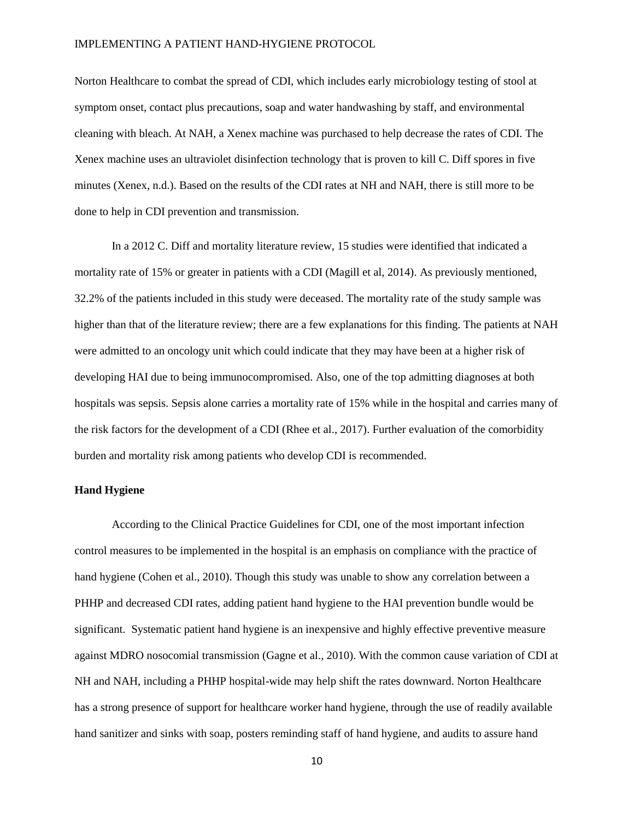Norton Healthcare to combat the spread of CDI, which includes early microbiology testing of stool at symptom onset, contact plus precautions, soap and water handwashing by staff, and environmental cleaning with bleach. At NAH, a Xenex machine was purchased to help decrease the rates of CDI. The Xenex machine uses an ultraviolet disinfection technology that is proven to kill C. Diff spores in five minutes (Xenex, n.d.). Based on the results of the CDI rates at NH and NAH, there is still more to be done to help in CDI prevention and transmission.

In a 2012 C. Diff and mortality literature review, 15 studies were identified that indicated a mortality rate of 15% or greater in patients with a CDI (Magill et al, 2014). As previously mentioned, 32.2% of the patients included in this study were deceased. The mortality rate of the study sample was higher than that of the literature review; there are a few explanations for this finding. The patients at NAH were admitted to an oncology unit which could indicate that they may have been at a higher risk of developing HAI due to being immunocompromised. Also, one of the top admitting diagnoses at both hospitals was sepsis. Sepsis alone carries a mortality rate of 15% while in the hospital and carries many of the risk factors for the development of a CDI (Rhee et al., 2017). Further evaluation of the comorbidity burden and mortality risk among patients who develop CDI is recommended.

# **Hand Hygiene**

According to the Clinical Practice Guidelines for CDI, one of the most important infection control measures to be implemented in the hospital is an emphasis on compliance with the practice of hand hygiene (Cohen et al., 2010). Though this study was unable to show any correlation between a PHHP and decreased CDI rates, adding patient hand hygiene to the HAI prevention bundle would be significant. Systematic patient hand hygiene is an inexpensive and highly effective preventive measure against MDRO nosocomial transmission (Gagne et al., 2010). With the common cause variation of CDI at NH and NAH, including a PHHP hospital-wide may help shift the rates downward. Norton Healthcare has a strong presence of support for healthcare worker hand hygiene, through the use of readily available hand sanitizer and sinks with soap, posters reminding staff of hand hygiene, and audits to assure hand

10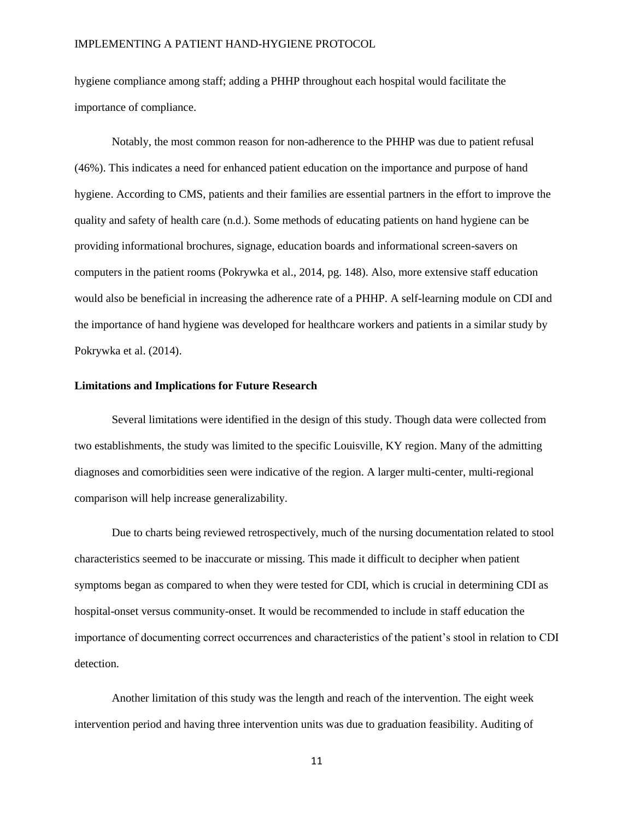hygiene compliance among staff; adding a PHHP throughout each hospital would facilitate the importance of compliance.

Notably, the most common reason for non-adherence to the PHHP was due to patient refusal (46%). This indicates a need for enhanced patient education on the importance and purpose of hand hygiene. According to CMS, patients and their families are essential partners in the effort to improve the quality and safety of health care (n.d.). Some methods of educating patients on hand hygiene can be providing informational brochures, signage, education boards and informational screen-savers on computers in the patient rooms (Pokrywka et al., 2014, pg. 148). Also, more extensive staff education would also be beneficial in increasing the adherence rate of a PHHP. A self-learning module on CDI and the importance of hand hygiene was developed for healthcare workers and patients in a similar study by Pokrywka et al. (2014).

#### **Limitations and Implications for Future Research**

Several limitations were identified in the design of this study. Though data were collected from two establishments, the study was limited to the specific Louisville, KY region. Many of the admitting diagnoses and comorbidities seen were indicative of the region. A larger multi-center, multi-regional comparison will help increase generalizability.

Due to charts being reviewed retrospectively, much of the nursing documentation related to stool characteristics seemed to be inaccurate or missing. This made it difficult to decipher when patient symptoms began as compared to when they were tested for CDI, which is crucial in determining CDI as hospital-onset versus community-onset. It would be recommended to include in staff education the importance of documenting correct occurrences and characteristics of the patient's stool in relation to CDI detection.

Another limitation of this study was the length and reach of the intervention. The eight week intervention period and having three intervention units was due to graduation feasibility. Auditing of

11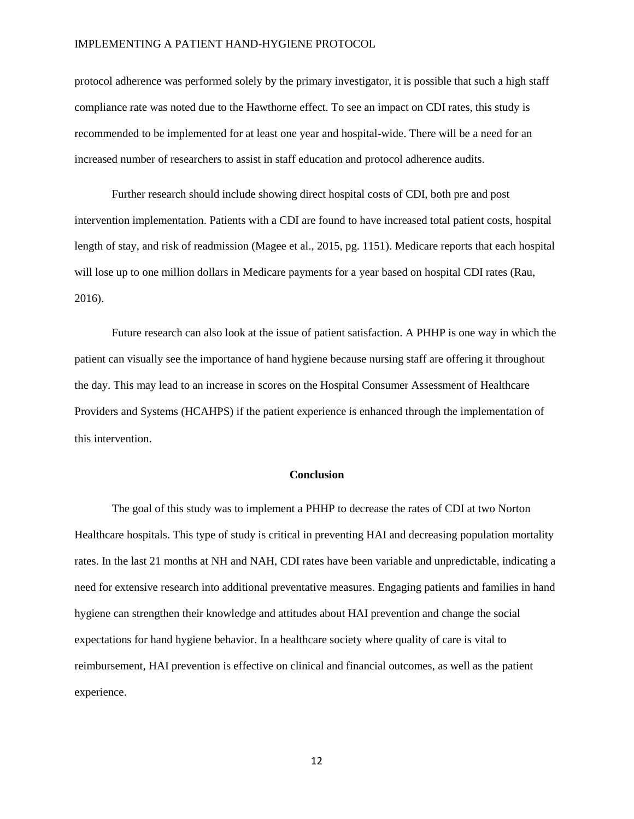protocol adherence was performed solely by the primary investigator, it is possible that such a high staff compliance rate was noted due to the Hawthorne effect. To see an impact on CDI rates, this study is recommended to be implemented for at least one year and hospital-wide. There will be a need for an increased number of researchers to assist in staff education and protocol adherence audits.

Further research should include showing direct hospital costs of CDI, both pre and post intervention implementation. Patients with a CDI are found to have increased total patient costs, hospital length of stay, and risk of readmission (Magee et al., 2015, pg. 1151). Medicare reports that each hospital will lose up to one million dollars in Medicare payments for a year based on hospital CDI rates (Rau, 2016).

Future research can also look at the issue of patient satisfaction. A PHHP is one way in which the patient can visually see the importance of hand hygiene because nursing staff are offering it throughout the day. This may lead to an increase in scores on the Hospital Consumer Assessment of Healthcare Providers and Systems (HCAHPS) if the patient experience is enhanced through the implementation of this intervention.

#### **Conclusion**

The goal of this study was to implement a PHHP to decrease the rates of CDI at two Norton Healthcare hospitals. This type of study is critical in preventing HAI and decreasing population mortality rates. In the last 21 months at NH and NAH, CDI rates have been variable and unpredictable, indicating a need for extensive research into additional preventative measures. Engaging patients and families in hand hygiene can strengthen their knowledge and attitudes about HAI prevention and change the social expectations for hand hygiene behavior. In a healthcare society where quality of care is vital to reimbursement, HAI prevention is effective on clinical and financial outcomes, as well as the patient experience.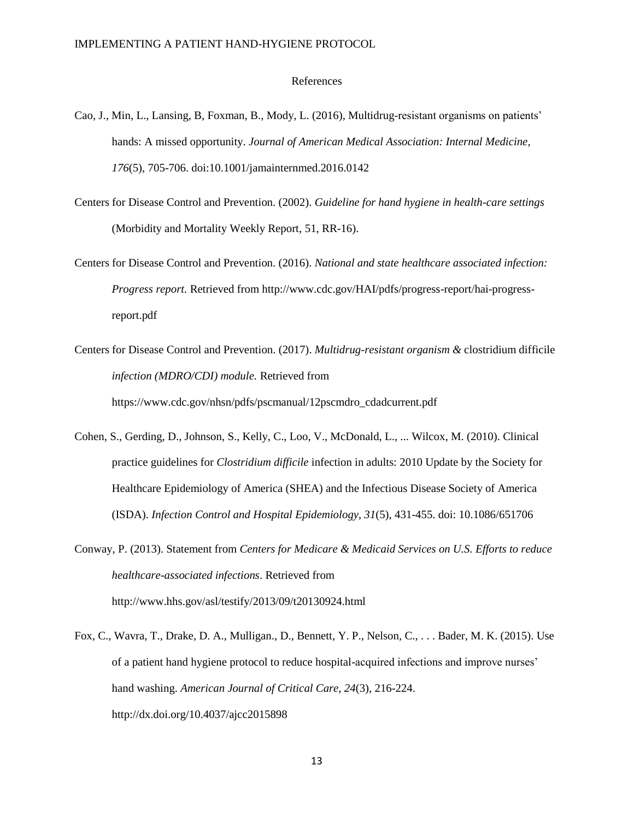#### References

- Cao, J., Min, L., Lansing, B, Foxman, B., Mody, L. (2016), Multidrug-resistant organisms on patients' hands: A missed opportunity. *Journal of American Medical Association: Internal Medicine, 176*(5), 705-706. doi:10.1001/jamainternmed.2016.0142
- Centers for Disease Control and Prevention. (2002). *Guideline for hand hygiene in health-care settings* (Morbidity and Mortality Weekly Report, 51, RR-16).
- Centers for Disease Control and Prevention. (2016). *National and state healthcare associated infection: Progress report.* Retrieved from http://www.cdc.gov/HAI/pdfs/progress-report/hai-progressreport.pdf
- Centers for Disease Control and Prevention. (2017). *Multidrug-resistant organism &* clostridium difficile *infection (MDRO/CDI) module.* Retrieved from https://www.cdc.gov/nhsn/pdfs/pscmanual/12pscmdro\_cdadcurrent.pdf
- Cohen, S., Gerding, D., Johnson, S., Kelly, C., Loo, V., McDonald, L., ... Wilcox, M. (2010). Clinical practice guidelines for *Clostridium difficile* infection in adults: 2010 Update by the Society for Healthcare Epidemiology of America (SHEA) and the Infectious Disease Society of America (ISDA). *Infection Control and Hospital Epidemiology*, *31*(5), 431-455. doi: 10.1086/651706
- Conway, P. (2013). Statement from *Centers for Medicare & Medicaid Services on U.S. Efforts to reduce healthcare-associated infections*. Retrieved from http://www.hhs.gov/asl/testify/2013/09/t20130924.html
- Fox, C., Wavra, T., Drake, D. A., Mulligan., D., Bennett, Y. P., Nelson, C., . . . Bader, M. K. (2015). Use of a patient hand hygiene protocol to reduce hospital-acquired infections and improve nurses' hand washing. *American Journal of Critical Care, 24*(3), 216-224. http://dx.doi.org/10.4037/ajcc2015898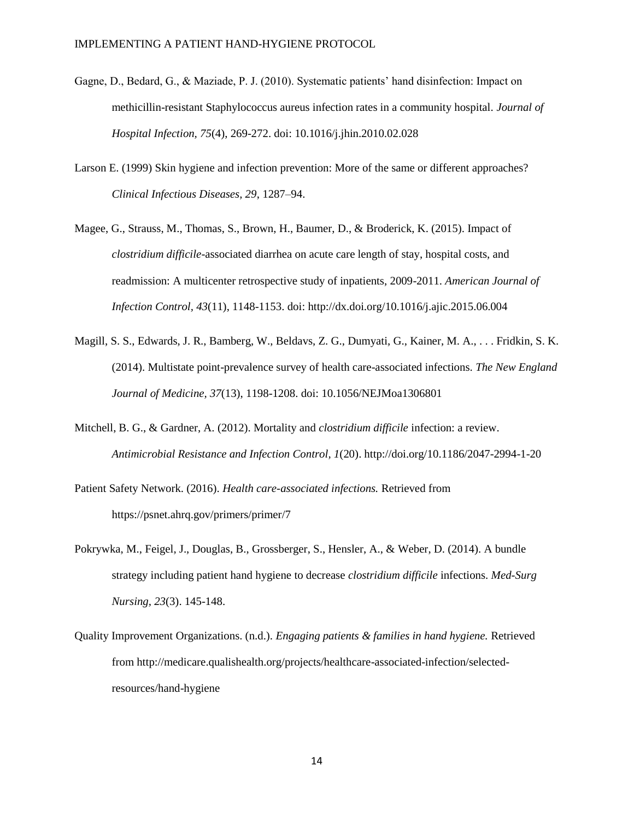- Gagne, D., Bedard, G., & Maziade, P. J. (2010). Systematic patients' hand disinfection: Impact on methicillin-resistant Staphylococcus aureus infection rates in a community hospital. *Journal of Hospital Infection, 75*(4), 269-272. doi: 10.1016/j.jhin.2010.02.028
- Larson E. (1999) Skin hygiene and infection prevention: More of the same or different approaches? *Clinical Infectious Diseases, 29*, 1287–94.
- Magee, G., Strauss, M., Thomas, S., Brown, H., Baumer, D., & Broderick, K. (2015). Impact of *clostridium difficile*-associated diarrhea on acute care length of stay, hospital costs, and readmission: A multicenter retrospective study of inpatients, 2009-2011. *American Journal of Infection Control, 43*(11), 1148-1153. doi: http://dx.doi.org/10.1016/j.ajic.2015.06.004
- Magill, S. S., Edwards, J. R., Bamberg, W., Beldavs, Z. G., Dumyati, G., Kainer, M. A., . . . Fridkin, S. K. (2014). Multistate point-prevalence survey of health care-associated infections. *The New England Journal of Medicine, 37*(13), 1198-1208. doi: 10.1056/NEJMoa1306801
- Mitchell, B. G., & Gardner, A. (2012). Mortality and *clostridium difficile* infection: a review. *Antimicrobial Resistance and Infection Control, 1*(20). http://doi.org/10.1186/2047-2994-1-20
- Patient Safety Network. (2016). *Health care-associated infections.* Retrieved from https://psnet.ahrq.gov/primers/primer/7
- Pokrywka, M., Feigel, J., Douglas, B., Grossberger, S., Hensler, A., & Weber, D. (2014). A bundle strategy including patient hand hygiene to decrease *clostridium difficile* infections. *Med-Surg Nursing, 23*(3). 145-148.
- Quality Improvement Organizations. (n.d.). *Engaging patients & families in hand hygiene.* Retrieved from http://medicare.qualishealth.org/projects/healthcare-associated-infection/selectedresources/hand-hygiene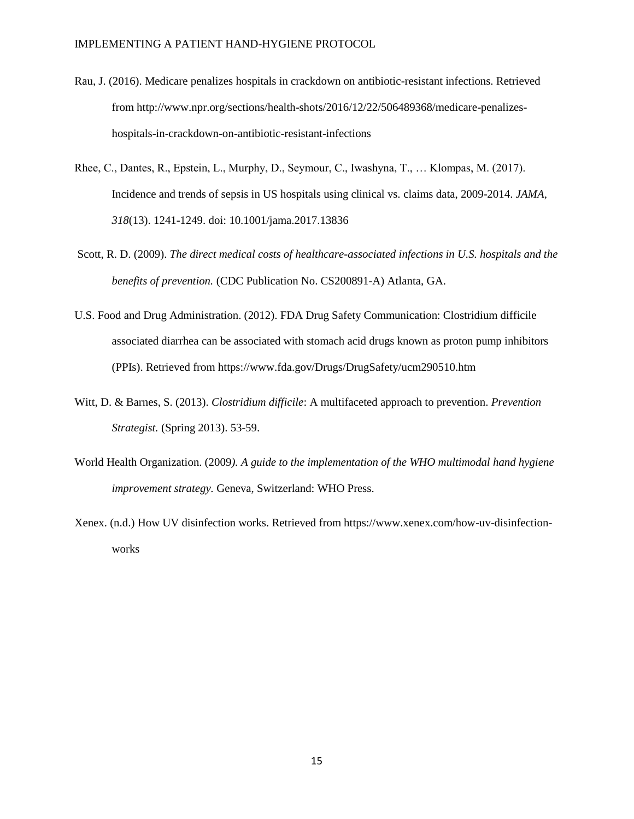- Rau, J. (2016). Medicare penalizes hospitals in crackdown on antibiotic-resistant infections. Retrieved from http://www.npr.org/sections/health-shots/2016/12/22/506489368/medicare-penalizeshospitals-in-crackdown-on-antibiotic-resistant-infections
- Rhee, C., Dantes, R., Epstein, L., Murphy, D., Seymour, C., Iwashyna, T., … Klompas, M. (2017). Incidence and trends of sepsis in US hospitals using clinical vs. claims data, 2009-2014. *JAMA, 318*(13). 1241-1249. doi: 10.1001/jama.2017.13836
- Scott, R. D. (2009). *The direct medical costs of healthcare-associated infections in U.S. hospitals and the benefits of prevention.* (CDC Publication No. CS200891-A) Atlanta, GA.
- U.S. Food and Drug Administration. (2012). FDA Drug Safety Communication: Clostridium difficile associated diarrhea can be associated with stomach acid drugs known as proton pump inhibitors (PPIs). Retrieved from https://www.fda.gov/Drugs/DrugSafety/ucm290510.htm
- Witt, D. & Barnes, S. (2013). *Clostridium difficile*: A multifaceted approach to prevention. *Prevention Strategist.* (Spring 2013). 53-59.
- World Health Organization. (2009*). A guide to the implementation of the WHO multimodal hand hygiene improvement strategy.* Geneva, Switzerland: WHO Press.
- Xenex. (n.d.) How UV disinfection works. Retrieved from https://www.xenex.com/how-uv-disinfectionworks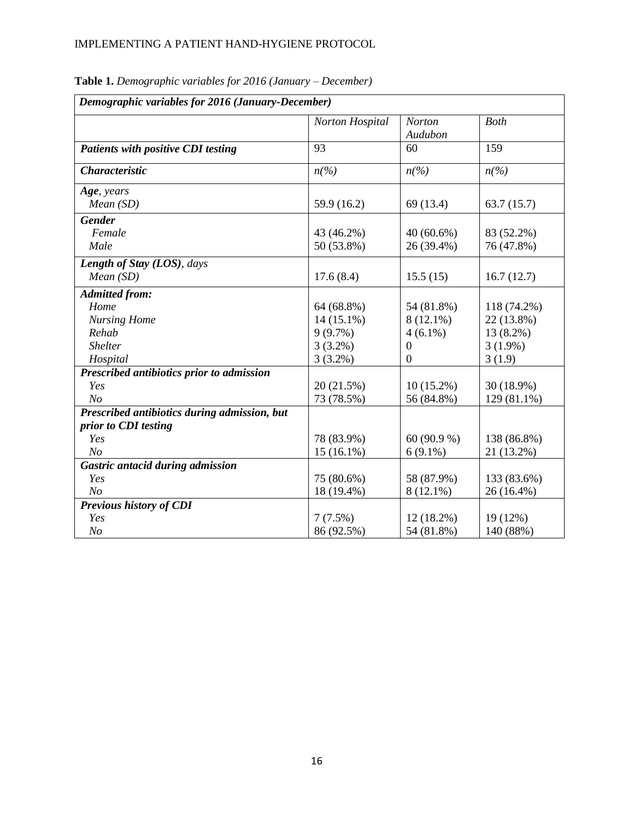| Demographic variables for 2016 (January-December) |                             |                          |                    |
|---------------------------------------------------|-----------------------------|--------------------------|--------------------|
|                                                   | Norton Hospital             | <b>Norton</b><br>Audubon | <b>Both</b>        |
| <b>Patients with positive CDI testing</b>         | 93                          | 60                       | 159                |
| <b>Characteristic</b>                             | $n\left(\frac{o}{o}\right)$ | $n\left(\%\right)$       | $n\left(\%\right)$ |
| Age, years                                        |                             |                          |                    |
| Mean(SD)                                          | 59.9 (16.2)                 | 69 (13.4)                | 63.7(15.7)         |
| <b>Gender</b>                                     |                             |                          |                    |
| Female                                            | 43 (46.2%)                  | $40(60.6\%)$             | 83 (52.2%)         |
| Male                                              | 50 (53.8%)                  | 26 (39.4%)               | 76 (47.8%)         |
| Length of Stay (LOS), days                        |                             |                          |                    |
| Mean(SD)                                          | 17.6(8.4)                   | 15.5(15)                 | 16.7(12.7)         |
| <b>Admitted from:</b>                             |                             |                          |                    |
| Home                                              | 64 (68.8%)                  | 54 (81.8%)               | 118 (74.2%)        |
| <b>Nursing Home</b>                               | 14 (15.1%)                  | $8(12.1\%)$              | 22 (13.8%)         |
| Rehab                                             | 9(9.7%)                     | $4(6.1\%)$               | 13 (8.2%)          |
| <b>Shelter</b>                                    | $3(3.2\%)$                  | $\theta$                 | $3(1.9\%)$         |
| Hospital                                          | $3(3.2\%)$                  | $\overline{0}$           | 3(1.9)             |
| Prescribed antibiotics prior to admission         |                             |                          |                    |
| Yes                                               | 20 (21.5%)                  | $10(15.2\%)$             | 30 (18.9%)         |
| N <sub>O</sub>                                    | 73 (78.5%)                  | 56 (84.8%)               | 129 (81.1%)        |
| Prescribed antibiotics during admission, but      |                             |                          |                    |
| prior to CDI testing                              |                             |                          |                    |
| Yes                                               | 78 (83.9%)                  | 60 (90.9 %)              | 138 (86.8%)        |
| N <sub>O</sub>                                    | $15(16.1\%)$                | $6(9.1\%)$               | 21 (13.2%)         |
| Gastric antacid during admission                  |                             |                          |                    |
| Yes                                               | 75 (80.6%)                  | 58 (87.9%)               | 133 (83.6%)        |
| N <sub>O</sub>                                    | 18 (19.4%)                  | $8(12.1\%)$              | 26 (16.4%)         |
| Previous history of CDI                           |                             |                          |                    |
| Yes                                               | $7(7.5\%)$                  | 12 (18.2%)               | 19 (12%)           |
| N <sub>O</sub>                                    | 86 (92.5%)                  | 54 (81.8%)               | 140 (88%)          |

**Table 1.** *Demographic variables for 2016 (January – December)*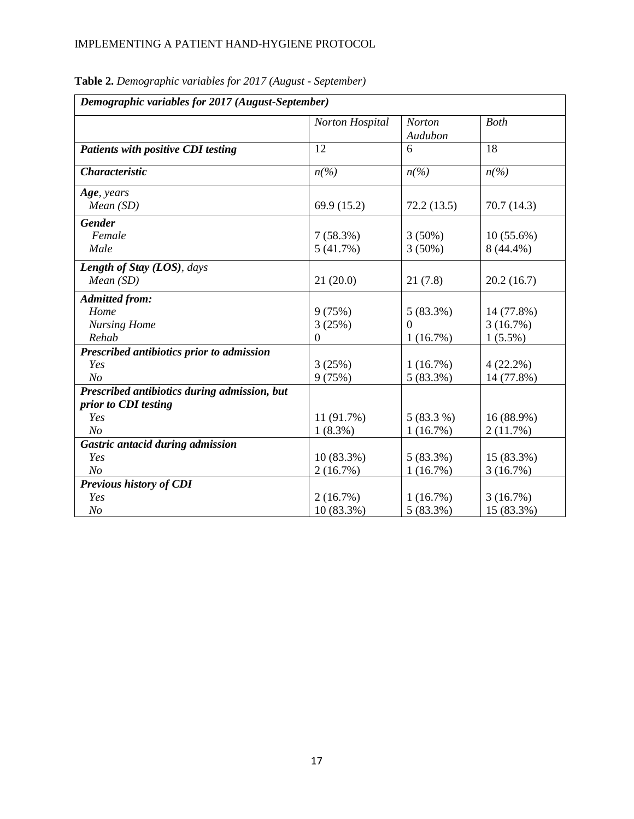| Demographic variables for 2017 (August-September) |                             |                                       |                                       |
|---------------------------------------------------|-----------------------------|---------------------------------------|---------------------------------------|
|                                                   | Norton Hospital             | <b>Norton</b><br>Audubon              | <b>Both</b>                           |
| Patients with positive CDI testing                | 12                          | 6                                     | 18                                    |
| <b>Characteristic</b>                             | $n\left(\frac{o}{o}\right)$ | $n\left(\frac{\frac{1}{2}}{2}\right)$ | $n\left(\frac{\frac{1}{2}}{2}\right)$ |
| Age, years                                        |                             |                                       |                                       |
| Mean(SD)                                          | 69.9 (15.2)                 | 72.2(13.5)                            | 70.7(14.3)                            |
| <b>Gender</b>                                     |                             |                                       |                                       |
| Female                                            | 7(58.3%)                    | $3(50\%)$                             | $10(55.6\%)$                          |
| Male                                              | 5(41.7%)                    | $3(50\%)$                             | 8 (44.4%)                             |
| Length of Stay (LOS), days                        |                             |                                       |                                       |
| Mean(SD)                                          | 21(20.0)                    | 21(7.8)                               | 20.2(16.7)                            |
| <b>Admitted from:</b>                             |                             |                                       |                                       |
| Home                                              | 9(75%)                      | 5(83.3%)                              | 14 (77.8%)                            |
| <b>Nursing Home</b>                               | 3(25%)                      | $\Omega$                              | 3(16.7%)                              |
| Rehab                                             | $\theta$                    | 1(16.7%)                              | $1(5.5\%)$                            |
| Prescribed antibiotics prior to admission         |                             |                                       |                                       |
| Yes                                               | 3(25%)                      | 1(16.7%)                              | $4(22.2\%)$                           |
| N <sub>O</sub>                                    | 9(75%)                      | $5(83.3\%)$                           | 14 (77.8%)                            |
| Prescribed antibiotics during admission, but      |                             |                                       |                                       |
| prior to CDI testing                              |                             |                                       |                                       |
| Yes                                               | 11 (91.7%)                  | $5(83.3\%)$                           | 16 (88.9%)                            |
| N <sub>o</sub>                                    | $1(8.3\%)$                  | 1(16.7%)                              | 2(11.7%)                              |
| Gastric antacid during admission                  |                             |                                       |                                       |
| Yes                                               | $10(83.3\%)$                | $5(83.3\%)$                           | 15 (83.3%)                            |
| N <sub>O</sub>                                    | 2(16.7%)                    | 1(16.7%)                              | 3(16.7%)                              |
| Previous history of CDI                           |                             |                                       |                                       |
| Yes                                               | 2(16.7%)                    | 1(16.7%)                              | 3(16.7%)                              |
| N <sub>o</sub>                                    | $10(83.3\%)$                | $5(83.3\%)$                           | 15 (83.3%)                            |

**Table 2.** *Demographic variables for 2017 (August - September)*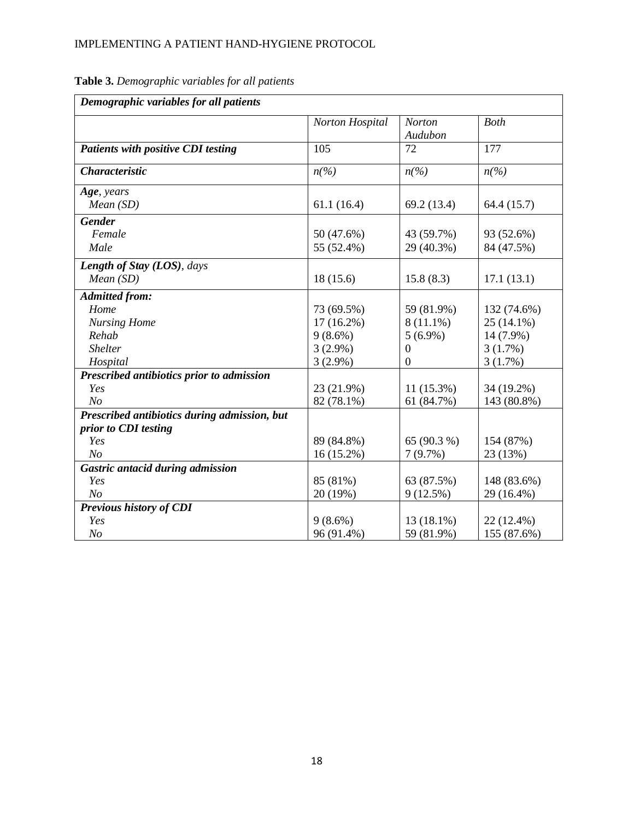|                                              | Norton Hospital    | <b>Norton</b>      | <b>Both</b>                           |
|----------------------------------------------|--------------------|--------------------|---------------------------------------|
|                                              |                    | Audubon            |                                       |
| <b>Patients with positive CDI testing</b>    | 105                | 72                 | 177                                   |
| <b>Characteristic</b>                        | $n\left(\%\right)$ | $n\left(\%\right)$ | $n\left(\frac{\frac{1}{2}}{2}\right)$ |
| Age, years                                   |                    |                    |                                       |
| Mean(SD)                                     | 61.1(16.4)         | 69.2 (13.4)        | 64.4 (15.7)                           |
| <b>Gender</b>                                |                    |                    |                                       |
| Female                                       | 50 (47.6%)         | 43 (59.7%)         | 93 (52.6%)                            |
| Male                                         | 55 (52.4%)         | 29 (40.3%)         | 84 (47.5%)                            |
| Length of Stay (LOS), days                   |                    |                    |                                       |
| Mean(SD)                                     | 18(15.6)           | 15.8(8.3)          | 17.1(13.1)                            |
| <b>Admitted from:</b>                        |                    |                    |                                       |
| Home                                         | 73 (69.5%)         | 59 (81.9%)         | 132 (74.6%)                           |
| <b>Nursing Home</b>                          | 17 (16.2%)         | $8(11.1\%)$        | $25(14.1\%)$                          |
| Rehab                                        | $9(8.6\%)$         | $5(6.9\%)$         | 14 (7.9%)                             |
| <b>Shelter</b>                               | $3(2.9\%)$         | 0                  | 3(1.7%)                               |
| Hospital                                     | $3(2.9\%)$         | $\mathbf{0}$       | 3(1.7%)                               |
| Prescribed antibiotics prior to admission    |                    |                    |                                       |
| Yes                                          | 23 (21.9%)         | $11(15.3\%)$       | 34 (19.2%)                            |
| N <sub>O</sub>                               | 82 (78.1%)         | 61 (84.7%)         | 143 (80.8%)                           |
| Prescribed antibiotics during admission, but |                    |                    |                                       |
| prior to CDI testing                         |                    |                    |                                       |
| Yes                                          | 89 (84.8%)         | 65 (90.3 %)        | 154 (87%)                             |
| N <sub>O</sub>                               | 16 (15.2%)         | 7(9.7%)            | 23 (13%)                              |
| Gastric antacid during admission             |                    |                    |                                       |
| Yes                                          | 85 (81%)           | 63 (87.5%)         | 148 (83.6%)                           |
| N <sub>O</sub>                               | 20 (19%)           | 9(12.5%)           | 29 (16.4%)                            |
| Previous history of CDI                      |                    |                    |                                       |
| Yes                                          | $9(8.6\%)$         | 13 (18.1%)         | 22 (12.4%)                            |
| N <sub>O</sub>                               | 96 (91.4%)         | 59 (81.9%)         | 155 (87.6%)                           |

**Table 3.** *Demographic variables for all patients*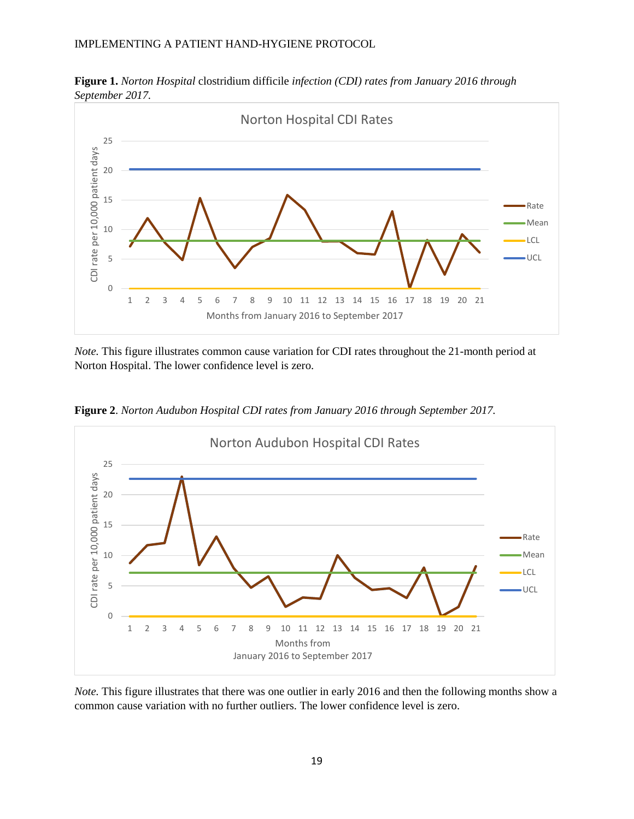

**Figure 1.** *Norton Hospital* clostridium difficile *infection (CDI) rates from January 2016 through September 2017.*

*Note.* This figure illustrates common cause variation for CDI rates throughout the 21-month period at Norton Hospital. The lower confidence level is zero.



**Figure 2**. *Norton Audubon Hospital CDI rates from January 2016 through September 2017.*

*Note*. This figure illustrates that there was one outlier in early 2016 and then the following months show a common cause variation with no further outliers. The lower confidence level is zero.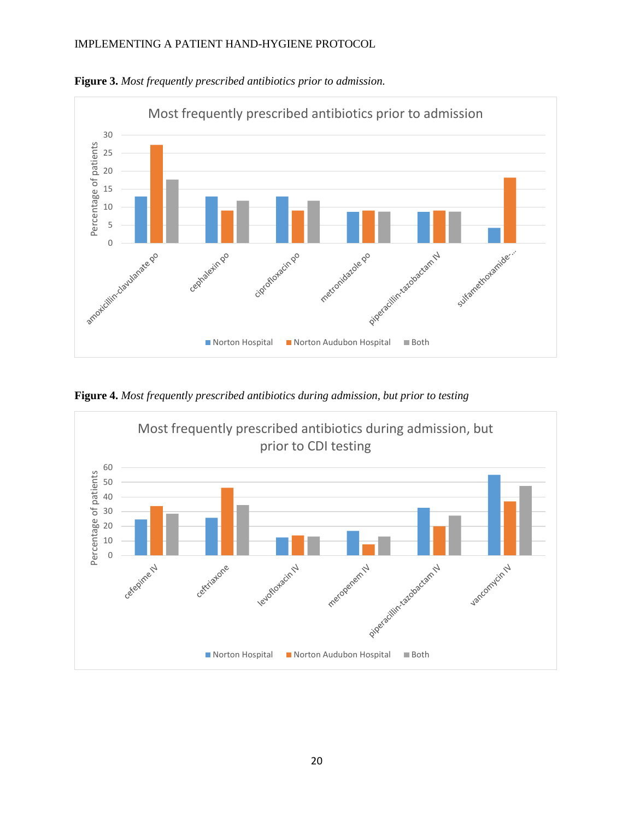

**Figure 3.** *Most frequently prescribed antibiotics prior to admission.*

**Figure 4.** *Most frequently prescribed antibiotics during admission, but prior to testing*

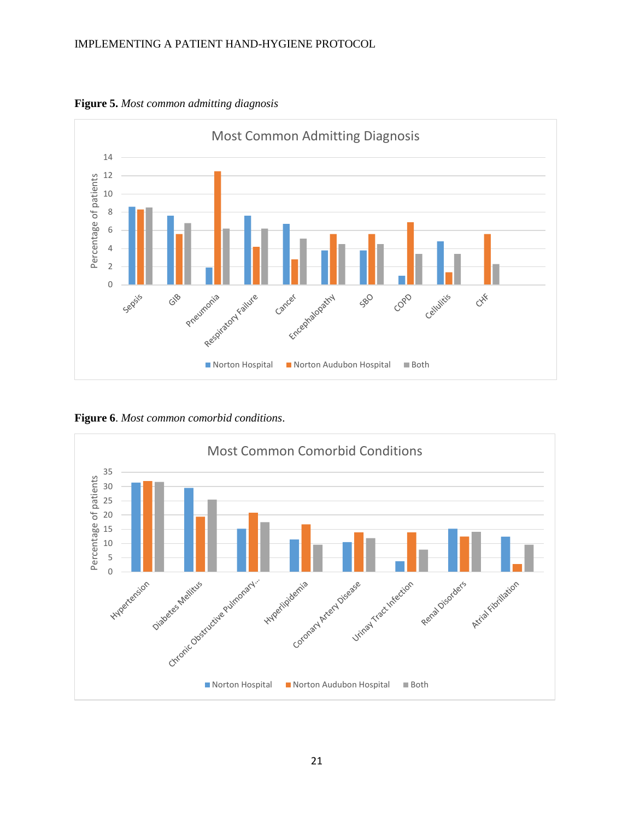

**Figure 5.** *Most common admitting diagnosis*

**Figure 6**. *Most common comorbid conditions*.

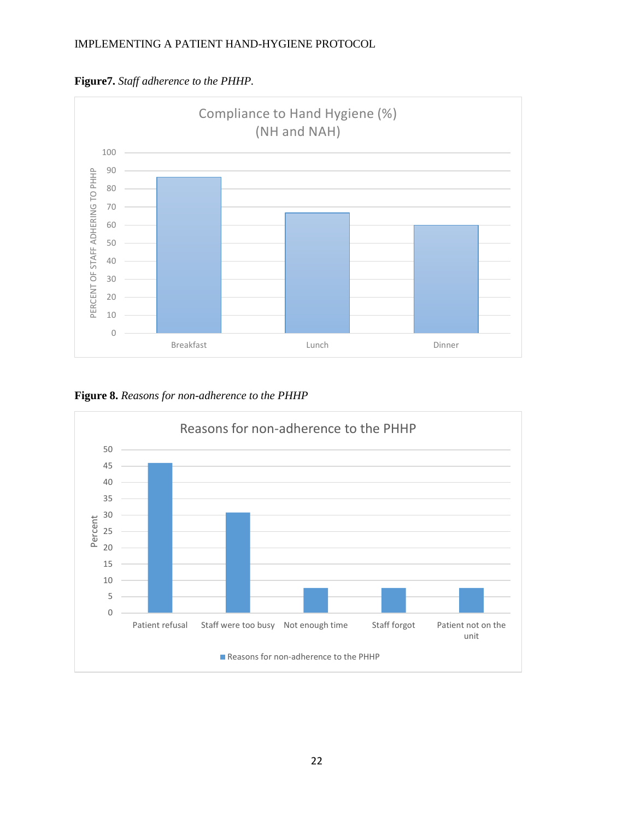

**Figure7.** *Staff adherence to the PHHP.*

**Figure 8.** *Reasons for non-adherence to the PHHP*